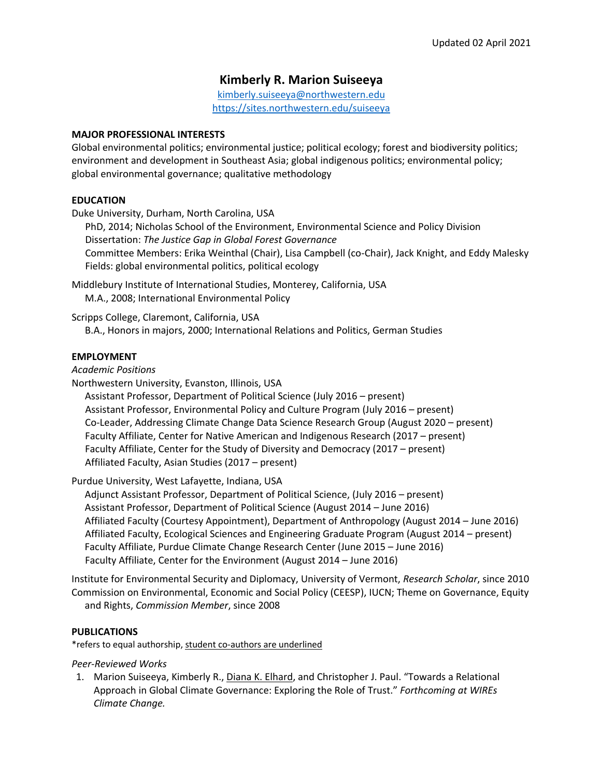# **Kimberly R. Marion Suiseeya**

kimberly.suiseeya@northwestern.edu https://sites.northwestern.edu/suiseeya

### **MAJOR PROFESSIONAL INTERESTS**

Global environmental politics; environmental justice; political ecology; forest and biodiversity politics; environment and development in Southeast Asia; global indigenous politics; environmental policy; global environmental governance; qualitative methodology

# **EDUCATION**

Duke University, Durham, North Carolina, USA

PhD, 2014; Nicholas School of the Environment, Environmental Science and Policy Division Dissertation: *The Justice Gap in Global Forest Governance* Committee Members: Erika Weinthal (Chair), Lisa Campbell (co-Chair), Jack Knight, and Eddy Malesky Fields: global environmental politics, political ecology

Middlebury Institute of International Studies, Monterey, California, USA M.A., 2008; International Environmental Policy

Scripps College, Claremont, California, USA B.A., Honors in majors, 2000; International Relations and Politics, German Studies

### **EMPLOYMENT**

*Academic Positions*

Northwestern University, Evanston, Illinois, USA

Assistant Professor, Department of Political Science (July 2016 – present) Assistant Professor, Environmental Policy and Culture Program (July 2016 – present) Co-Leader, Addressing Climate Change Data Science Research Group (August 2020 – present) Faculty Affiliate, Center for Native American and Indigenous Research (2017 – present) Faculty Affiliate, Center for the Study of Diversity and Democracy (2017 – present) Affiliated Faculty, Asian Studies (2017 – present)

Purdue University, West Lafayette, Indiana, USA

Adjunct Assistant Professor, Department of Political Science, (July 2016 – present) Assistant Professor, Department of Political Science (August 2014 – June 2016) Affiliated Faculty (Courtesy Appointment), Department of Anthropology (August 2014 – June 2016) Affiliated Faculty, Ecological Sciences and Engineering Graduate Program (August 2014 – present) Faculty Affiliate, Purdue Climate Change Research Center (June 2015 – June 2016) Faculty Affiliate, Center for the Environment (August 2014 – June 2016)

Institute for Environmental Security and Diplomacy, University of Vermont, *Research Scholar*, since 2010 Commission on Environmental, Economic and Social Policy (CEESP), IUCN; Theme on Governance, Equity and Rights, *Commission Member*, since 2008

### **PUBLICATIONS**

\*refers to equal authorship, student co-authors are underlined

*Peer-Reviewed Works*

1. Marion Suiseeya, Kimberly R., Diana K. Elhard, and Christopher J. Paul. "Towards a Relational Approach in Global Climate Governance: Exploring the Role of Trust." *Forthcoming at WIREs Climate Change.*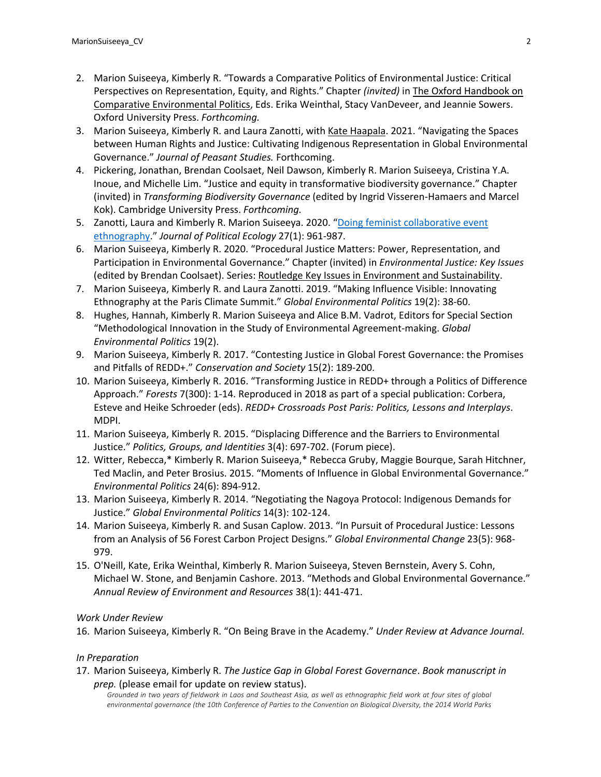- 2. Marion Suiseeya, Kimberly R. "Towards a Comparative Politics of Environmental Justice: Critical Perspectives on Representation, Equity, and Rights." Chapter *(invited)* in The Oxford Handbook on Comparative Environmental Politics, Eds. Erika Weinthal, Stacy VanDeveer, and Jeannie Sowers. Oxford University Press. *Forthcoming.*
- 3. Marion Suiseeya, Kimberly R. and Laura Zanotti, with Kate Haapala. 2021. "Navigating the Spaces between Human Rights and Justice: Cultivating Indigenous Representation in Global Environmental Governance." *Journal of Peasant Studies.* Forthcoming.
- 4. Pickering, Jonathan, Brendan Coolsaet, Neil Dawson, Kimberly R. Marion Suiseeya, Cristina Y.A. Inoue, and Michelle Lim. "Justice and equity in transformative biodiversity governance." Chapter (invited) in *Transforming Biodiversity Governance* (edited by Ingrid Visseren-Hamaers and Marcel Kok). Cambridge University Press. *Forthcoming.*
- 5. Zanotti, Laura and Kimberly R. Marion Suiseeya. 2020. "Doing feminist collaborative event ethnography." *Journal of Political Ecology* 27(1): 961-987.
- 6. Marion Suiseeya, Kimberly R. 2020. "Procedural Justice Matters: Power, Representation, and Participation in Environmental Governance." Chapter (invited) in *Environmental Justice: Key Issues*  (edited by Brendan Coolsaet). Series: Routledge Key Issues in Environment and Sustainability.
- 7. Marion Suiseeya, Kimberly R. and Laura Zanotti. 2019. "Making Influence Visible: Innovating Ethnography at the Paris Climate Summit." *Global Environmental Politics* 19(2): 38-60.
- 8. Hughes, Hannah, Kimberly R. Marion Suiseeya and Alice B.M. Vadrot, Editors for Special Section "Methodological Innovation in the Study of Environmental Agreement-making. *Global Environmental Politics* 19(2).
- 9. Marion Suiseeya, Kimberly R. 2017. "Contesting Justice in Global Forest Governance: the Promises and Pitfalls of REDD+." *Conservation and Society* 15(2): 189-200.
- 10. Marion Suiseeya, Kimberly R. 2016. "Transforming Justice in REDD+ through a Politics of Difference Approach." *Forests* 7(300): 1-14. Reproduced in 2018 as part of a special publication: Corbera, Esteve and Heike Schroeder (eds). *REDD+ Crossroads Post Paris: Politics, Lessons and Interplays*. MDPI.
- 11. Marion Suiseeya, Kimberly R. 2015. "Displacing Difference and the Barriers to Environmental Justice." *Politics, Groups, and Identities* 3(4): 697-702. (Forum piece).
- 12. Witter, Rebecca,\* Kimberly R. Marion Suiseeya,\* Rebecca Gruby, Maggie Bourque, Sarah Hitchner, Ted Maclin, and Peter Brosius. 2015. "Moments of Influence in Global Environmental Governance." *Environmental Politics* 24(6): 894-912.
- 13. Marion Suiseeya, Kimberly R. 2014. "Negotiating the Nagoya Protocol: Indigenous Demands for Justice." *Global Environmental Politics* 14(3): 102-124.
- 14. Marion Suiseeya, Kimberly R. and Susan Caplow. 2013. "In Pursuit of Procedural Justice: Lessons from an Analysis of 56 Forest Carbon Project Designs." *Global Environmental Change* 23(5): 968- 979.
- 15. O'Neill, Kate, Erika Weinthal, Kimberly R. Marion Suiseeya, Steven Bernstein, Avery S. Cohn, Michael W. Stone, and Benjamin Cashore. 2013. "Methods and Global Environmental Governance." *Annual Review of Environment and Resources* 38(1): 441-471.

# *Work Under Review*

16. Marion Suiseeya, Kimberly R. "On Being Brave in the Academy." *Under Review at Advance Journal.*

# *In Preparation*

17. Marion Suiseeya, Kimberly R. *The Justice Gap in Global Forest Governance*. *Book manuscript in prep.* (please email for update on review status).

*Grounded in two years of fieldwork in Laos and Southeast Asia, as well as ethnographic field work at four sites of global environmental governance (the 10th Conference of Parties to the Convention on Biological Diversity, the 2014 World Parks*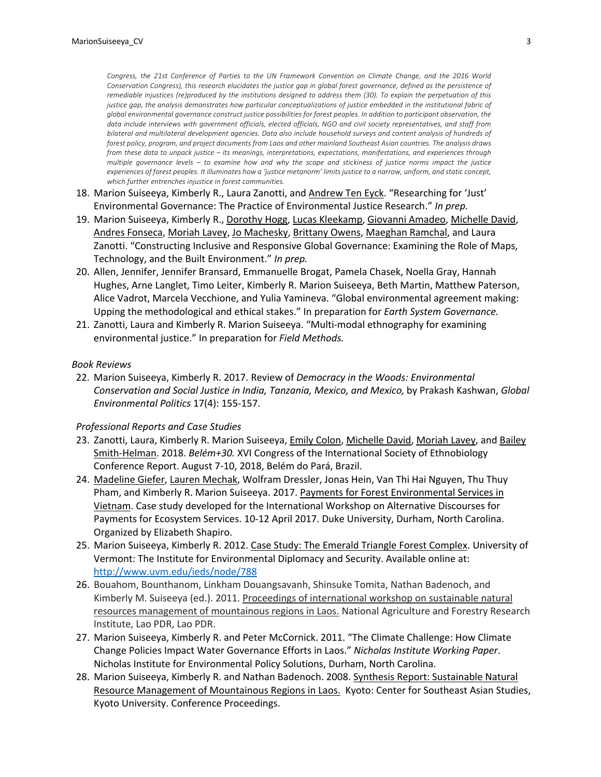*Congress, the 21st Conference of Parties to the UN Framework Convention on Climate Change, and the 2016 World Conservation Congress), this research elucidates the justice gap in global forest governance, defined as the persistence of remediable injustices (re)produced by the institutions designed to address them (30). To explain the perpetuation of this justice gap, the analysis demonstrates how particular conceptualizations of justice embedded in the institutional fabric of global environmental governance construct justice possibilities for forest peoples. In addition to participant observation, the data include interviews with government officials, elected officials, NGO and civil society representatives, and staff from bilateral and multilateral development agencies. Data also include household surveys and content analysis of hundreds of forest policy, program, and project documents from Laos and other mainland Southeast Asian countries. The analysis draws from these data to unpack justice – its meanings, interpretations, expectations, manifestations, and experiences through multiple governance levels – to examine how and why the scope and stickiness of justice norms impact the justice experiences of forest peoples. It illuminates how a 'justice metanorm' limits justice to a narrow, uniform, and static concept, which further entrenches injustice in forest communities.*

- 18. Marion Suiseeya, Kimberly R., Laura Zanotti, and Andrew Ten Eyck. "Researching for 'Just' Environmental Governance: The Practice of Environmental Justice Research." *In prep.*
- 19. Marion Suiseeya, Kimberly R., Dorothy Hogg, Lucas Kleekamp, Giovanni Amadeo, Michelle David, Andres Fonseca, Moriah Lavey, Jo Machesky, Brittany Owens, Maeghan Ramchal, and Laura Zanotti. "Constructing Inclusive and Responsive Global Governance: Examining the Role of Maps, Technology, and the Built Environment." *In prep.*
- 20. Allen, Jennifer, Jennifer Bransard, Emmanuelle Brogat, Pamela Chasek, Noella Gray, Hannah Hughes, Arne Langlet, Timo Leiter, Kimberly R. Marion Suiseeya, Beth Martin, Matthew Paterson, Alice Vadrot, Marcela Vecchione, and Yulia Yamineva. "Global environmental agreement making: Upping the methodological and ethical stakes." In preparation for *Earth System Governance.*
- 21. Zanotti, Laura and Kimberly R. Marion Suiseeya. "Multi-modal ethnography for examining environmental justice." In preparation for *Field Methods.*

#### *Book Reviews*

22. Marion Suiseeya, Kimberly R. 2017. Review of *Democracy in the Woods: Environmental Conservation and Social Justice in India, Tanzania, Mexico, and Mexico,* by Prakash Kashwan, *Global Environmental Politics* 17(4): 155-157.

#### *Professional Reports and Case Studies*

- 23. Zanotti, Laura, Kimberly R. Marion Suiseeya, *Emily Colon, Michelle David, Moriah Lavey*, and Bailey Smith-Helman. 2018. *Belém+30.* XVI Congress of the International Society of Ethnobiology Conference Report. August 7-10, 2018, Belém do Pará, Brazil.
- 24. Madeline Giefer, Lauren Mechak, Wolfram Dressler, Jonas Hein, Van Thi Hai Nguyen, Thu Thuy Pham, and Kimberly R. Marion Suiseeya. 2017. Payments for Forest Environmental Services in Vietnam. Case study developed for the International Workshop on Alternative Discourses for Payments for Ecosystem Services. 10-12 April 2017. Duke University, Durham, North Carolina. Organized by Elizabeth Shapiro.
- 25. Marion Suiseeya, Kimberly R. 2012. Case Study: The Emerald Triangle Forest Complex. University of Vermont: The Institute for Environmental Diplomacy and Security. Available online at: http://www.uvm.edu/ieds/node/788
- 26. Bouahom, Bounthanom, Linkham Douangsavanh, Shinsuke Tomita, Nathan Badenoch, and Kimberly M. Suiseeya (ed.). 2011. Proceedings of international workshop on sustainable natural resources management of mountainous regions in Laos. National Agriculture and Forestry Research Institute, Lao PDR, Lao PDR.
- 27. Marion Suiseeya, Kimberly R. and Peter McCornick. 2011. "The Climate Challenge: How Climate Change Policies Impact Water Governance Efforts in Laos." *Nicholas Institute Working Paper*. Nicholas Institute for Environmental Policy Solutions, Durham, North Carolina.
- 28. Marion Suiseeya, Kimberly R. and Nathan Badenoch. 2008. Synthesis Report: Sustainable Natural Resource Management of Mountainous Regions in Laos. Kyoto: Center for Southeast Asian Studies, Kyoto University. Conference Proceedings.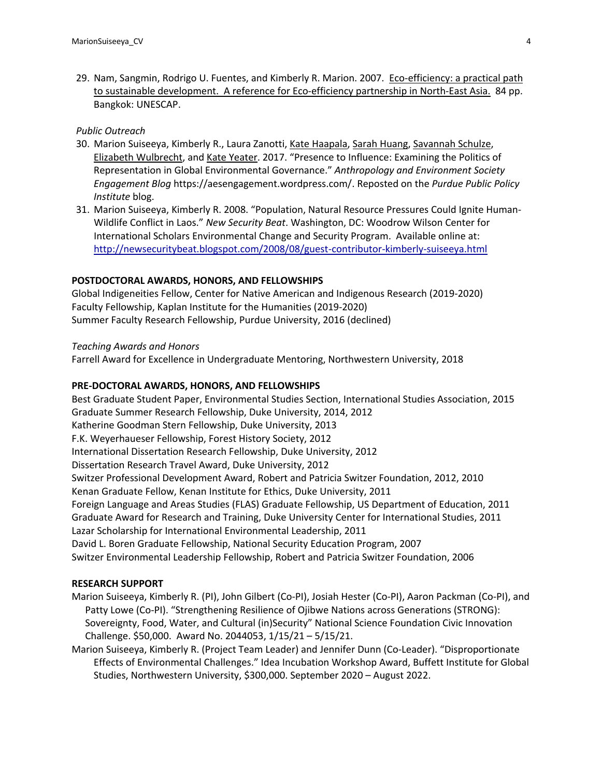29. Nam, Sangmin, Rodrigo U. Fuentes, and Kimberly R. Marion. 2007. Eco-efficiency: a practical path to sustainable development. A reference for Eco-efficiency partnership in North-East Asia. 84 pp. Bangkok: UNESCAP.

### *Public Outreach*

- 30. Marion Suiseeya, Kimberly R., Laura Zanotti, Kate Haapala, Sarah Huang, Savannah Schulze, Elizabeth Wulbrecht, and Kate Yeater. 2017. "Presence to Influence: Examining the Politics of Representation in Global Environmental Governance." *Anthropology and Environment Society Engagement Blog* https://aesengagement.wordpress.com/. Reposted on the *Purdue Public Policy Institute* blog.
- 31. Marion Suiseeya, Kimberly R. 2008. "Population, Natural Resource Pressures Could Ignite Human-Wildlife Conflict in Laos." *New Security Beat*. Washington, DC: Woodrow Wilson Center for International Scholars Environmental Change and Security Program. Available online at: http://newsecuritybeat.blogspot.com/2008/08/guest-contributor-kimberly-suiseeya.html

### **POSTDOCTORAL AWARDS, HONORS, AND FELLOWSHIPS**

Global Indigeneities Fellow, Center for Native American and Indigenous Research (2019-2020) Faculty Fellowship, Kaplan Institute for the Humanities (2019-2020) Summer Faculty Research Fellowship, Purdue University, 2016 (declined)

#### *Teaching Awards and Honors*

Farrell Award for Excellence in Undergraduate Mentoring, Northwestern University, 2018

#### **PRE-DOCTORAL AWARDS, HONORS, AND FELLOWSHIPS**

Best Graduate Student Paper, Environmental Studies Section, International Studies Association, 2015 Graduate Summer Research Fellowship, Duke University, 2014, 2012 Katherine Goodman Stern Fellowship, Duke University, 2013 F.K. Weyerhaueser Fellowship, Forest History Society, 2012 International Dissertation Research Fellowship, Duke University, 2012 Dissertation Research Travel Award, Duke University, 2012 Switzer Professional Development Award, Robert and Patricia Switzer Foundation, 2012, 2010 Kenan Graduate Fellow, Kenan Institute for Ethics, Duke University, 2011 Foreign Language and Areas Studies (FLAS) Graduate Fellowship, US Department of Education, 2011 Graduate Award for Research and Training, Duke University Center for International Studies, 2011 Lazar Scholarship for International Environmental Leadership, 2011 David L. Boren Graduate Fellowship, National Security Education Program, 2007 Switzer Environmental Leadership Fellowship, Robert and Patricia Switzer Foundation, 2006

#### **RESEARCH SUPPORT**

- Marion Suiseeya, Kimberly R. (PI), John Gilbert (Co-PI), Josiah Hester (Co-PI), Aaron Packman (Co-PI), and Patty Lowe (Co-PI). "Strengthening Resilience of Ojibwe Nations across Generations (STRONG): Sovereignty, Food, Water, and Cultural (in)Security" National Science Foundation Civic Innovation Challenge. \$50,000. Award No. 2044053, 1/15/21 – 5/15/21.
- Marion Suiseeya, Kimberly R. (Project Team Leader) and Jennifer Dunn (Co-Leader). "Disproportionate Effects of Environmental Challenges." Idea Incubation Workshop Award, Buffett Institute for Global Studies, Northwestern University, \$300,000. September 2020 – August 2022.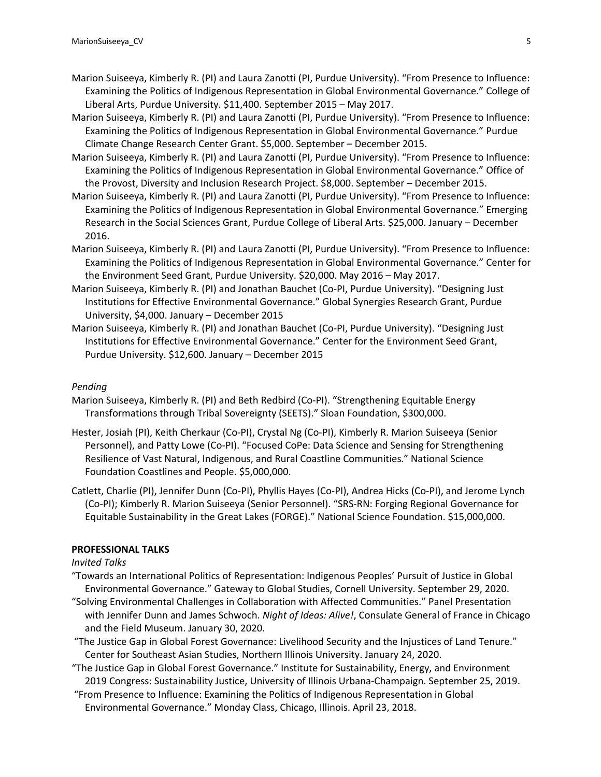- Marion Suiseeya, Kimberly R. (PI) and Laura Zanotti (PI, Purdue University). "From Presence to Influence: Examining the Politics of Indigenous Representation in Global Environmental Governance." College of Liberal Arts, Purdue University. \$11,400. September 2015 – May 2017.
- Marion Suiseeya, Kimberly R. (PI) and Laura Zanotti (PI, Purdue University). "From Presence to Influence: Examining the Politics of Indigenous Representation in Global Environmental Governance." Purdue Climate Change Research Center Grant. \$5,000. September – December 2015.
- Marion Suiseeya, Kimberly R. (PI) and Laura Zanotti (PI, Purdue University). "From Presence to Influence: Examining the Politics of Indigenous Representation in Global Environmental Governance." Office of the Provost, Diversity and Inclusion Research Project. \$8,000. September – December 2015.
- Marion Suiseeya, Kimberly R. (PI) and Laura Zanotti (PI, Purdue University). "From Presence to Influence: Examining the Politics of Indigenous Representation in Global Environmental Governance." Emerging Research in the Social Sciences Grant, Purdue College of Liberal Arts. \$25,000. January – December 2016.
- Marion Suiseeya, Kimberly R. (PI) and Laura Zanotti (PI, Purdue University). "From Presence to Influence: Examining the Politics of Indigenous Representation in Global Environmental Governance." Center for the Environment Seed Grant, Purdue University. \$20,000. May 2016 – May 2017.
- Marion Suiseeya, Kimberly R. (PI) and Jonathan Bauchet (Co-PI, Purdue University). "Designing Just Institutions for Effective Environmental Governance." Global Synergies Research Grant, Purdue University, \$4,000. January – December 2015
- Marion Suiseeya, Kimberly R. (PI) and Jonathan Bauchet (Co-PI, Purdue University). "Designing Just Institutions for Effective Environmental Governance." Center for the Environment Seed Grant, Purdue University. \$12,600. January – December 2015

### *Pending*

- Marion Suiseeya, Kimberly R. (PI) and Beth Redbird (Co-PI). "Strengthening Equitable Energy Transformations through Tribal Sovereignty (SEETS)." Sloan Foundation, \$300,000.
- Hester, Josiah (PI), Keith Cherkaur (Co-PI), Crystal Ng (Co-PI), Kimberly R. Marion Suiseeya (Senior Personnel), and Patty Lowe (Co-PI). "Focused CoPe: Data Science and Sensing for Strengthening Resilience of Vast Natural, Indigenous, and Rural Coastline Communities." National Science Foundation Coastlines and People. \$5,000,000.
- Catlett, Charlie (PI), Jennifer Dunn (Co-PI), Phyllis Hayes (Co-PI), Andrea Hicks (Co-PI), and Jerome Lynch (Co-PI); Kimberly R. Marion Suiseeya (Senior Personnel). "SRS-RN: Forging Regional Governance for Equitable Sustainability in the Great Lakes (FORGE)." National Science Foundation. \$15,000,000.

### **PROFESSIONAL TALKS**

### *Invited Talks*

- "Towards an International Politics of Representation: Indigenous Peoples' Pursuit of Justice in Global Environmental Governance." Gateway to Global Studies, Cornell University. September 29, 2020.
- "Solving Environmental Challenges in Collaboration with Affected Communities." Panel Presentation with Jennifer Dunn and James Schwoch. *Night of Ideas: Alive!*, Consulate General of France in Chicago and the Field Museum. January 30, 2020.
- "The Justice Gap in Global Forest Governance: Livelihood Security and the Injustices of Land Tenure." Center for Southeast Asian Studies, Northern Illinois University. January 24, 2020.
- "The Justice Gap in Global Forest Governance." Institute for Sustainability, Energy, and Environment 2019 Congress: Sustainability Justice, University of Illinois Urbana-Champaign. September 25, 2019.
- "From Presence to Influence: Examining the Politics of Indigenous Representation in Global Environmental Governance." Monday Class, Chicago, Illinois. April 23, 2018.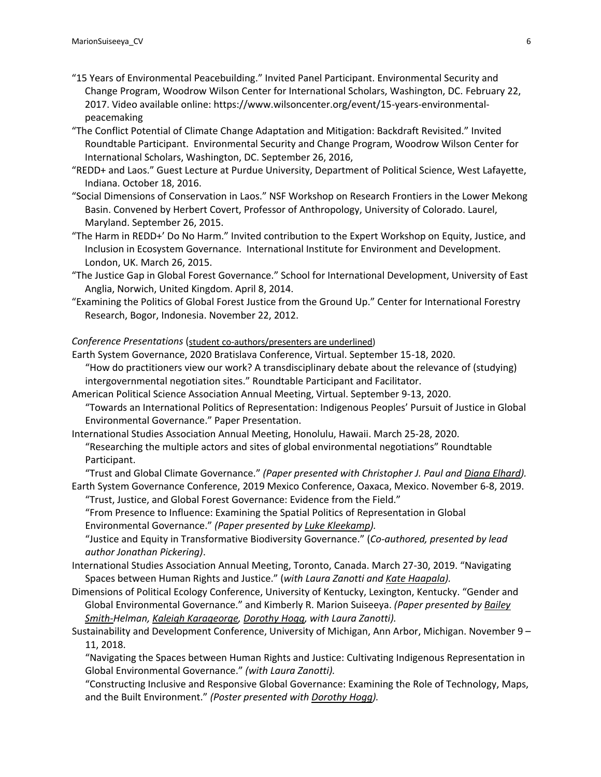- "15 Years of Environmental Peacebuilding." Invited Panel Participant. Environmental Security and Change Program, Woodrow Wilson Center for International Scholars, Washington, DC. February 22, 2017. Video available online: https://www.wilsoncenter.org/event/15-years-environmentalpeacemaking
- "The Conflict Potential of Climate Change Adaptation and Mitigation: Backdraft Revisited." Invited Roundtable Participant. Environmental Security and Change Program, Woodrow Wilson Center for International Scholars, Washington, DC. September 26, 2016,
- "REDD+ and Laos." Guest Lecture at Purdue University, Department of Political Science, West Lafayette, Indiana. October 18, 2016.
- "Social Dimensions of Conservation in Laos." NSF Workshop on Research Frontiers in the Lower Mekong Basin. Convened by Herbert Covert, Professor of Anthropology, University of Colorado. Laurel, Maryland. September 26, 2015.
- "The Harm in REDD+' Do No Harm." Invited contribution to the Expert Workshop on Equity, Justice, and Inclusion in Ecosystem Governance. International Institute for Environment and Development. London, UK. March 26, 2015.
- "The Justice Gap in Global Forest Governance." School for International Development, University of East Anglia, Norwich, United Kingdom. April 8, 2014.
- "Examining the Politics of Global Forest Justice from the Ground Up." Center for International Forestry Research, Bogor, Indonesia. November 22, 2012.

### *Conference Presentations* (student co-authors/presenters are underlined)

Earth System Governance, 2020 Bratislava Conference, Virtual. September 15-18, 2020.

"How do practitioners view our work? A transdisciplinary debate about the relevance of (studying) intergovernmental negotiation sites." Roundtable Participant and Facilitator.

American Political Science Association Annual Meeting, Virtual. September 9-13, 2020.

- "Towards an International Politics of Representation: Indigenous Peoples' Pursuit of Justice in Global Environmental Governance." Paper Presentation.
- International Studies Association Annual Meeting, Honolulu, Hawaii. March 25-28, 2020.
	- "Researching the multiple actors and sites of global environmental negotiations" Roundtable Participant.

"Trust and Global Climate Governance." *(Paper presented with Christopher J. Paul and Diana Elhard).* Earth System Governance Conference, 2019 Mexico Conference, Oaxaca, Mexico. November 6-8, 2019.

"Trust, Justice, and Global Forest Governance: Evidence from the Field."

"From Presence to Influence: Examining the Spatial Politics of Representation in Global Environmental Governance." *(Paper presented by Luke Kleekamp).*

"Justice and Equity in Transformative Biodiversity Governance." (*Co-authored, presented by lead author Jonathan Pickering)*.

- International Studies Association Annual Meeting, Toronto, Canada. March 27-30, 2019. "Navigating Spaces between Human Rights and Justice." (*with Laura Zanotti and Kate Haapala).*
- Dimensions of Political Ecology Conference, University of Kentucky, Lexington, Kentucky. "Gender and Global Environmental Governance." and Kimberly R. Marion Suiseeya. *(Paper presented by Bailey Smith-Helman, Kaleigh Karageorge, Dorothy Hogg, with Laura Zanotti).*
- Sustainability and Development Conference, University of Michigan, Ann Arbor, Michigan. November 9 11, 2018.

"Navigating the Spaces between Human Rights and Justice: Cultivating Indigenous Representation in Global Environmental Governance." *(with Laura Zanotti).*

"Constructing Inclusive and Responsive Global Governance: Examining the Role of Technology, Maps, and the Built Environment." *(Poster presented with Dorothy Hogg).*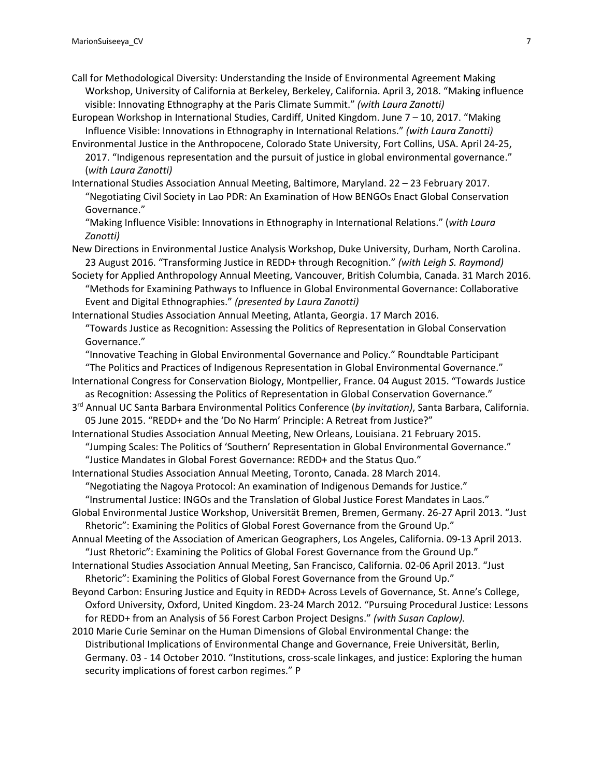- Call for Methodological Diversity: Understanding the Inside of Environmental Agreement Making Workshop, University of California at Berkeley, Berkeley, California. April 3, 2018. "Making influence visible: Innovating Ethnography at the Paris Climate Summit." *(with Laura Zanotti)*
- European Workshop in International Studies, Cardiff, United Kingdom. June 7 10, 2017. "Making Influence Visible: Innovations in Ethnography in International Relations." *(with Laura Zanotti)*
- Environmental Justice in the Anthropocene, Colorado State University, Fort Collins, USA. April 24-25, 2017. "Indigenous representation and the pursuit of justice in global environmental governance." (*with Laura Zanotti)*
- International Studies Association Annual Meeting, Baltimore, Maryland. 22 23 February 2017. "Negotiating Civil Society in Lao PDR: An Examination of How BENGOs Enact Global Conservation Governance."

"Making Influence Visible: Innovations in Ethnography in International Relations." (*with Laura Zanotti)*

- New Directions in Environmental Justice Analysis Workshop, Duke University, Durham, North Carolina. 23 August 2016. "Transforming Justice in REDD+ through Recognition." *(with Leigh S. Raymond)*
- Society for Applied Anthropology Annual Meeting, Vancouver, British Columbia, Canada. 31 March 2016. "Methods for Examining Pathways to Influence in Global Environmental Governance: Collaborative Event and Digital Ethnographies." *(presented by Laura Zanotti)*
- International Studies Association Annual Meeting, Atlanta, Georgia. 17 March 2016. "Towards Justice as Recognition: Assessing the Politics of Representation in Global Conservation Governance."

"Innovative Teaching in Global Environmental Governance and Policy." Roundtable Participant "The Politics and Practices of Indigenous Representation in Global Environmental Governance."

- International Congress for Conservation Biology, Montpellier, France. 04 August 2015. "Towards Justice as Recognition: Assessing the Politics of Representation in Global Conservation Governance."
- 3rd Annual UC Santa Barbara Environmental Politics Conference (*by invitation)*, Santa Barbara, California. 05 June 2015. "REDD+ and the 'Do No Harm' Principle: A Retreat from Justice?"

International Studies Association Annual Meeting, New Orleans, Louisiana. 21 February 2015. "Jumping Scales: The Politics of 'Southern' Representation in Global Environmental Governance."

"Justice Mandates in Global Forest Governance: REDD+ and the Status Quo."

International Studies Association Annual Meeting, Toronto, Canada. 28 March 2014.

"Negotiating the Nagoya Protocol: An examination of Indigenous Demands for Justice."

"Instrumental Justice: INGOs and the Translation of Global Justice Forest Mandates in Laos."

- Global Environmental Justice Workshop, Universität Bremen, Bremen, Germany. 26-27 April 2013. "Just Rhetoric": Examining the Politics of Global Forest Governance from the Ground Up."
- Annual Meeting of the Association of American Geographers, Los Angeles, California. 09-13 April 2013. "Just Rhetoric": Examining the Politics of Global Forest Governance from the Ground Up."
- International Studies Association Annual Meeting, San Francisco, California. 02-06 April 2013. "Just Rhetoric": Examining the Politics of Global Forest Governance from the Ground Up."
- Beyond Carbon: Ensuring Justice and Equity in REDD+ Across Levels of Governance, St. Anne's College, Oxford University, Oxford, United Kingdom. 23-24 March 2012. "Pursuing Procedural Justice: Lessons for REDD+ from an Analysis of 56 Forest Carbon Project Designs." *(with Susan Caplow).*
- 2010 Marie Curie Seminar on the Human Dimensions of Global Environmental Change: the Distributional Implications of Environmental Change and Governance, Freie Universität, Berlin, Germany. 03 - 14 October 2010. "Institutions, cross-scale linkages, and justice: Exploring the human security implications of forest carbon regimes." P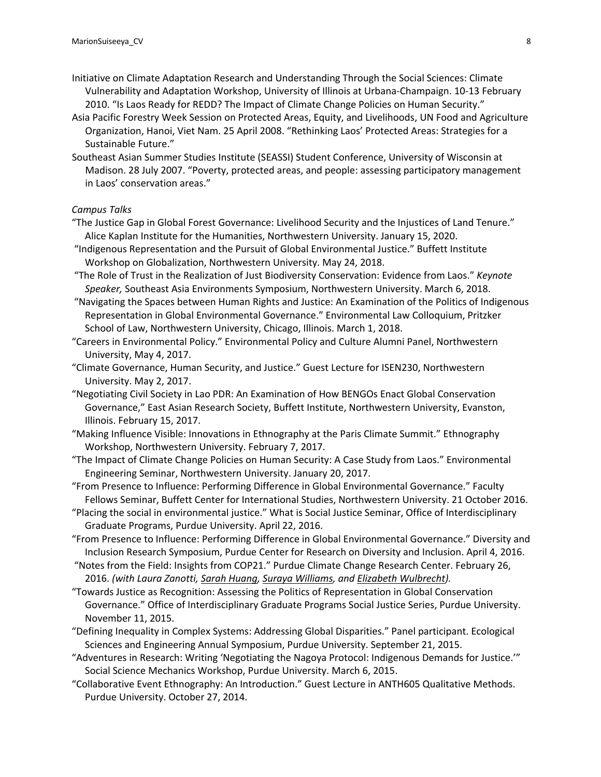- Initiative on Climate Adaptation Research and Understanding Through the Social Sciences: Climate Vulnerability and Adaptation Workshop, University of Illinois at Urbana-Champaign. 10-13 February 2010. "Is Laos Ready for REDD? The Impact of Climate Change Policies on Human Security."
- Asia Pacific Forestry Week Session on Protected Areas, Equity, and Livelihoods, UN Food and Agriculture Organization, Hanoi, Viet Nam. 25 April 2008. "Rethinking Laos' Protected Areas: Strategies for a Sustainable Future."
- Southeast Asian Summer Studies Institute (SEASSI) Student Conference, University of Wisconsin at Madison. 28 July 2007. "Poverty, protected areas, and people: assessing participatory management in Laos' conservation areas."

*Campus Talks*

- "The Justice Gap in Global Forest Governance: Livelihood Security and the Injustices of Land Tenure." Alice Kaplan Institute for the Humanities, Northwestern University. January 15, 2020.
- "Indigenous Representation and the Pursuit of Global Environmental Justice." Buffett Institute Workshop on Globalization, Northwestern University. May 24, 2018.
- "The Role of Trust in the Realization of Just Biodiversity Conservation: Evidence from Laos." *Keynote Speaker,* Southeast Asia Environments Symposium, Northwestern University. March 6, 2018.
- "Navigating the Spaces between Human Rights and Justice: An Examination of the Politics of Indigenous Representation in Global Environmental Governance." Environmental Law Colloquium, Pritzker School of Law, Northwestern University, Chicago, Illinois. March 1, 2018.
- "Careers in Environmental Policy." Environmental Policy and Culture Alumni Panel, Northwestern University, May 4, 2017.
- "Climate Governance, Human Security, and Justice." Guest Lecture for ISEN230, Northwestern University. May 2, 2017.
- "Negotiating Civil Society in Lao PDR: An Examination of How BENGOs Enact Global Conservation Governance," East Asian Research Society, Buffett Institute, Northwestern University, Evanston, Illinois. February 15, 2017.
- "Making Influence Visible: Innovations in Ethnography at the Paris Climate Summit." Ethnography Workshop, Northwestern University. February 7, 2017.
- "The Impact of Climate Change Policies on Human Security: A Case Study from Laos." Environmental Engineering Seminar, Northwestern University. January 20, 2017.
- "From Presence to Influence: Performing Difference in Global Environmental Governance." Faculty Fellows Seminar, Buffett Center for International Studies, Northwestern University. 21 October 2016.
- "Placing the social in environmental justice." What is Social Justice Seminar, Office of Interdisciplinary Graduate Programs, Purdue University. April 22, 2016.
- "From Presence to Influence: Performing Difference in Global Environmental Governance." Diversity and Inclusion Research Symposium, Purdue Center for Research on Diversity and Inclusion. April 4, 2016.
- "Notes from the Field: Insights from COP21." Purdue Climate Change Research Center. February 26, 2016. *(with Laura Zanotti, Sarah Huang, Suraya Williams, and Elizabeth Wulbrecht).*
- "Towards Justice as Recognition: Assessing the Politics of Representation in Global Conservation Governance." Office of Interdisciplinary Graduate Programs Social Justice Series, Purdue University. November 11, 2015.
- "Defining Inequality in Complex Systems: Addressing Global Disparities." Panel participant. Ecological Sciences and Engineering Annual Symposium, Purdue University. September 21, 2015.
- "Adventures in Research: Writing 'Negotiating the Nagoya Protocol: Indigenous Demands for Justice.'" Social Science Mechanics Workshop, Purdue University. March 6, 2015.
- "Collaborative Event Ethnography: An Introduction." Guest Lecture in ANTH605 Qualitative Methods. Purdue University. October 27, 2014.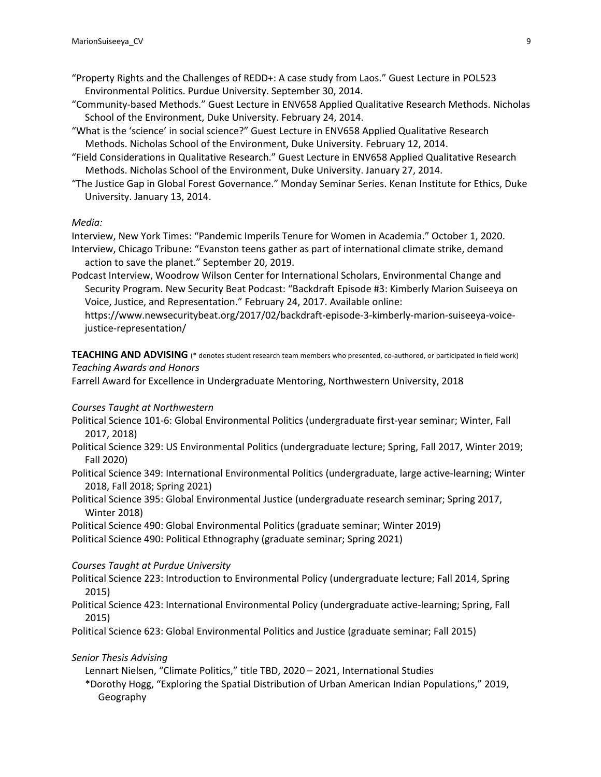- "Property Rights and the Challenges of REDD+: A case study from Laos." Guest Lecture in POL523 Environmental Politics. Purdue University. September 30, 2014.
- "Community-based Methods." Guest Lecture in ENV658 Applied Qualitative Research Methods. Nicholas School of the Environment, Duke University. February 24, 2014.
- "What is the 'science' in social science?" Guest Lecture in ENV658 Applied Qualitative Research Methods. Nicholas School of the Environment, Duke University. February 12, 2014.
- "Field Considerations in Qualitative Research." Guest Lecture in ENV658 Applied Qualitative Research Methods. Nicholas School of the Environment, Duke University. January 27, 2014.
- "The Justice Gap in Global Forest Governance." Monday Seminar Series. Kenan Institute for Ethics, Duke University. January 13, 2014.

### *Media:*

Interview, New York Times: "Pandemic Imperils Tenure for Women in Academia." October 1, 2020. Interview, Chicago Tribune: "Evanston teens gather as part of international climate strike, demand action to save the planet." September 20, 2019.

Podcast Interview, Woodrow Wilson Center for International Scholars, Environmental Change and Security Program. New Security Beat Podcast: "Backdraft Episode #3: Kimberly Marion Suiseeya on Voice, Justice, and Representation." February 24, 2017. Available online:

https://www.newsecuritybeat.org/2017/02/backdraft-episode-3-kimberly-marion-suiseeya-voicejustice-representation/

**TEACHING AND ADVISING** (\* denotes student research team members who presented, co-authored, or participated in field work) *Teaching Awards and Honors*

Farrell Award for Excellence in Undergraduate Mentoring, Northwestern University, 2018

#### *Courses Taught at Northwestern*

- Political Science 101-6: Global Environmental Politics (undergraduate first-year seminar; Winter, Fall 2017, 2018)
- Political Science 329: US Environmental Politics (undergraduate lecture; Spring, Fall 2017, Winter 2019; Fall 2020)
- Political Science 349: International Environmental Politics (undergraduate, large active-learning; Winter 2018, Fall 2018; Spring 2021)
- Political Science 395: Global Environmental Justice (undergraduate research seminar; Spring 2017, Winter 2018)
- Political Science 490: Global Environmental Politics (graduate seminar; Winter 2019)

Political Science 490: Political Ethnography (graduate seminar; Spring 2021)

### *Courses Taught at Purdue University*

Political Science 223: Introduction to Environmental Policy (undergraduate lecture; Fall 2014, Spring 2015)

Political Science 423: International Environmental Policy (undergraduate active-learning; Spring, Fall 2015)

Political Science 623: Global Environmental Politics and Justice (graduate seminar; Fall 2015)

### *Senior Thesis Advising*

Lennart Nielsen, "Climate Politics," title TBD, 2020 – 2021, International Studies

\*Dorothy Hogg, "Exploring the Spatial Distribution of Urban American Indian Populations," 2019, Geography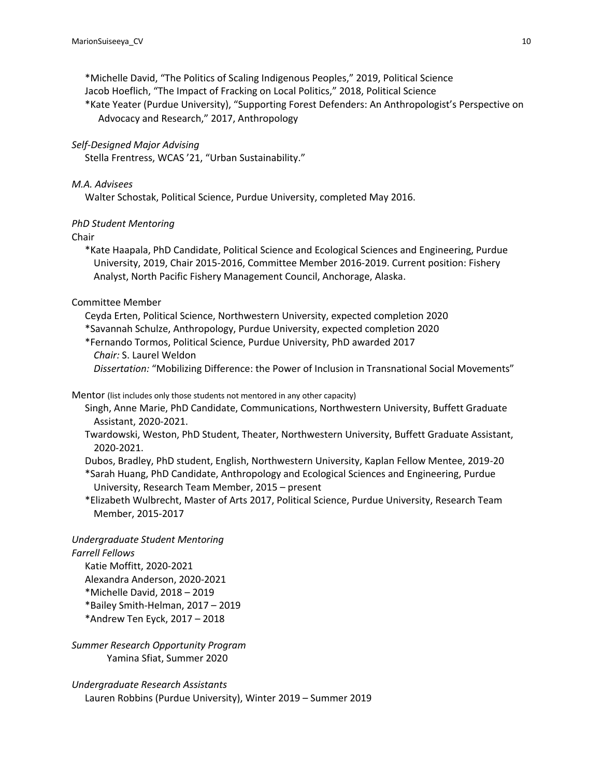\*Michelle David, "The Politics of Scaling Indigenous Peoples," 2019, Political Science Jacob Hoeflich, "The Impact of Fracking on Local Politics," 2018, Political Science \*Kate Yeater (Purdue University), "Supporting Forest Defenders: An Anthropologist's Perspective on Advocacy and Research," 2017, Anthropology

### *Self-Designed Major Advising*

Stella Frentress, WCAS '21, "Urban Sustainability."

#### *M.A. Advisees*

Walter Schostak, Political Science, Purdue University, completed May 2016.

### *PhD Student Mentoring*

Chair

\*Kate Haapala, PhD Candidate, Political Science and Ecological Sciences and Engineering, Purdue University, 2019, Chair 2015-2016, Committee Member 2016-2019. Current position: Fishery Analyst, North Pacific Fishery Management Council, Anchorage, Alaska.

### Committee Member

Ceyda Erten, Political Science, Northwestern University, expected completion 2020

\*Savannah Schulze, Anthropology, Purdue University, expected completion 2020

\*Fernando Tormos, Political Science, Purdue University, PhD awarded 2017 *Chair:* S. Laurel Weldon

*Dissertation:* "Mobilizing Difference: the Power of Inclusion in Transnational Social Movements"

#### Mentor (list includes only those students not mentored in any other capacity)

Singh, Anne Marie, PhD Candidate, Communications, Northwestern University, Buffett Graduate Assistant, 2020-2021.

Twardowski, Weston, PhD Student, Theater, Northwestern University, Buffett Graduate Assistant, 2020-2021.

Dubos, Bradley, PhD student, English, Northwestern University, Kaplan Fellow Mentee, 2019-20

\*Sarah Huang, PhD Candidate, Anthropology and Ecological Sciences and Engineering, Purdue University, Research Team Member, 2015 – present

\*Elizabeth Wulbrecht, Master of Arts 2017, Political Science, Purdue University, Research Team Member, 2015-2017

# *Undergraduate Student Mentoring*

#### *Farrell Fellows*

Katie Moffitt, 2020-2021 Alexandra Anderson, 2020-2021 \*Michelle David, 2018 – 2019 \*Bailey Smith-Helman, 2017 – 2019 \*Andrew Ten Eyck, 2017 – 2018

*Summer Research Opportunity Program* Yamina Sfiat, Summer 2020

### *Undergraduate Research Assistants*

Lauren Robbins (Purdue University), Winter 2019 – Summer 2019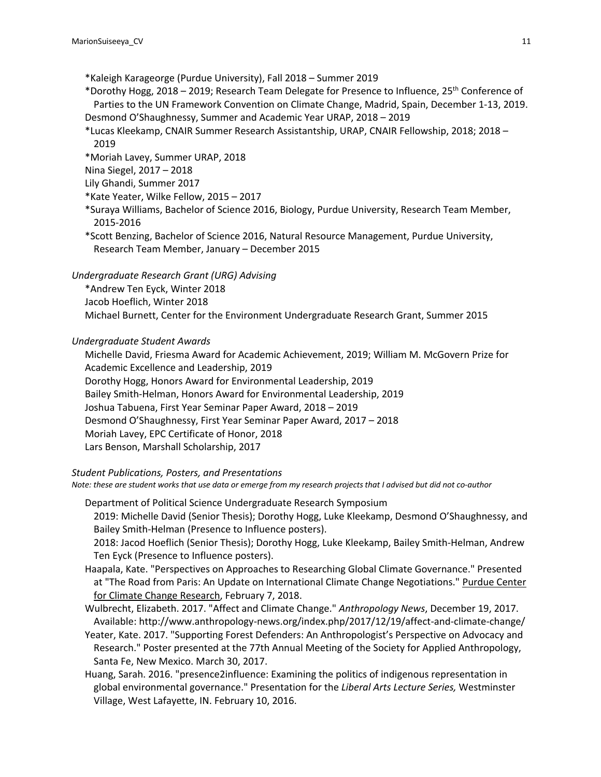\*Kaleigh Karageorge (Purdue University), Fall 2018 – Summer 2019

- \*Dorothy Hogg, 2018 2019; Research Team Delegate for Presence to Influence, 25th Conference of Parties to the UN Framework Convention on Climate Change, Madrid, Spain, December 1-13, 2019. Desmond O'Shaughnessy, Summer and Academic Year URAP, 2018 – 2019
- \*Lucas Kleekamp, CNAIR Summer Research Assistantship, URAP, CNAIR Fellowship, 2018; 2018 2019
- \*Moriah Lavey, Summer URAP, 2018
- Nina Siegel, 2017 2018
- Lily Ghandi, Summer 2017
- \*Kate Yeater, Wilke Fellow, 2015 2017
- \*Suraya Williams, Bachelor of Science 2016, Biology, Purdue University, Research Team Member, 2015-2016
- \*Scott Benzing, Bachelor of Science 2016, Natural Resource Management, Purdue University, Research Team Member, January – December 2015

*Undergraduate Research Grant (URG) Advising*

\*Andrew Ten Eyck, Winter 2018

Jacob Hoeflich, Winter 2018

Michael Burnett, Center for the Environment Undergraduate Research Grant, Summer 2015

# *Undergraduate Student Awards*

Michelle David, Friesma Award for Academic Achievement, 2019; William M. McGovern Prize for Academic Excellence and Leadership, 2019 Dorothy Hogg, Honors Award for Environmental Leadership, 2019 Bailey Smith-Helman, Honors Award for Environmental Leadership, 2019 Joshua Tabuena, First Year Seminar Paper Award, 2018 – 2019 Desmond O'Shaughnessy, First Year Seminar Paper Award, 2017 – 2018 Moriah Lavey, EPC Certificate of Honor, 2018 Lars Benson, Marshall Scholarship, 2017

# *Student Publications, Posters, and Presentations*

*Note: these are student works that use data or emerge from my research projects that I advised but did not co-author* 

Department of Political Science Undergraduate Research Symposium 2019: Michelle David (Senior Thesis); Dorothy Hogg, Luke Kleekamp, Desmond O'Shaughnessy, and Bailey Smith-Helman (Presence to Influence posters).

2018: Jacod Hoeflich (Senior Thesis); Dorothy Hogg, Luke Kleekamp, Bailey Smith-Helman, Andrew Ten Eyck (Presence to Influence posters).

- Haapala, Kate. "Perspectives on Approaches to Researching Global Climate Governance." Presented at "The Road from Paris: An Update on International Climate Change Negotiations." Purdue Center for Climate Change Research, February 7, 2018.
- Wulbrecht, Elizabeth. 2017. "Affect and Climate Change." *Anthropology News*, December 19, 2017. Available: http://www.anthropology-news.org/index.php/2017/12/19/affect-and-climate-change/
- Yeater, Kate. 2017. "Supporting Forest Defenders: An Anthropologist's Perspective on Advocacy and Research." Poster presented at the 77th Annual Meeting of the Society for Applied Anthropology, Santa Fe, New Mexico. March 30, 2017.
- Huang, Sarah. 2016. "presence2influence: Examining the politics of indigenous representation in global environmental governance." Presentation for the *Liberal Arts Lecture Series,* Westminster Village, West Lafayette, IN. February 10, 2016.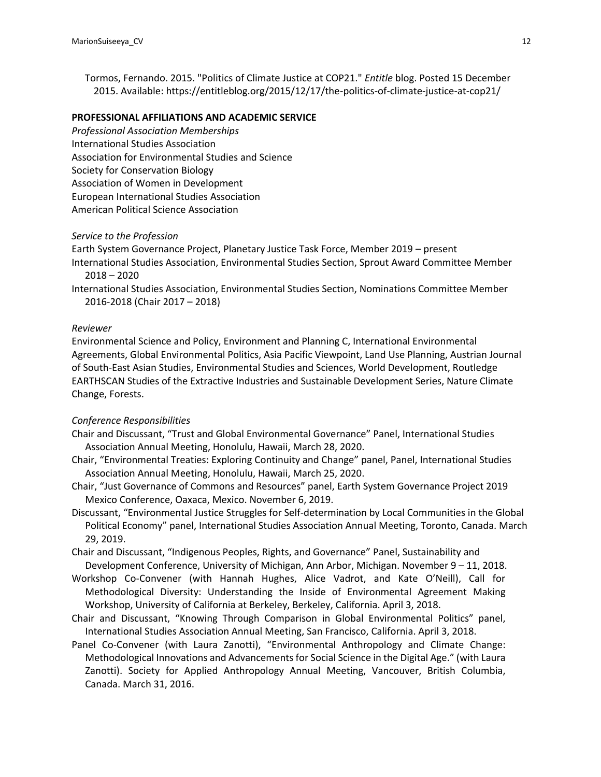Tormos, Fernando. 2015. "Politics of Climate Justice at COP21." *Entitle* blog. Posted 15 December 2015. Available: https://entitleblog.org/2015/12/17/the-politics-of-climate-justice-at-cop21/

# **PROFESSIONAL AFFILIATIONS AND ACADEMIC SERVICE**

*Professional Association Memberships* International Studies Association Association for Environmental Studies and Science Society for Conservation Biology Association of Women in Development European International Studies Association American Political Science Association

#### *Service to the Profession*

Earth System Governance Project, Planetary Justice Task Force, Member 2019 – present International Studies Association, Environmental Studies Section, Sprout Award Committee Member 2018 – 2020

International Studies Association, Environmental Studies Section, Nominations Committee Member 2016-2018 (Chair 2017 – 2018)

#### *Reviewer*

Environmental Science and Policy, Environment and Planning C, International Environmental Agreements, Global Environmental Politics, Asia Pacific Viewpoint, Land Use Planning, Austrian Journal of South-East Asian Studies, Environmental Studies and Sciences, World Development, Routledge EARTHSCAN Studies of the Extractive Industries and Sustainable Development Series, Nature Climate Change, Forests.

### *Conference Responsibilities*

- Chair and Discussant, "Trust and Global Environmental Governance" Panel, International Studies Association Annual Meeting, Honolulu, Hawaii, March 28, 2020.
- Chair, "Environmental Treaties: Exploring Continuity and Change" panel, Panel, International Studies Association Annual Meeting, Honolulu, Hawaii, March 25, 2020.
- Chair, "Just Governance of Commons and Resources" panel, Earth System Governance Project 2019 Mexico Conference, Oaxaca, Mexico. November 6, 2019.
- Discussant, "Environmental Justice Struggles for Self-determination by Local Communities in the Global Political Economy" panel, International Studies Association Annual Meeting, Toronto, Canada. March 29, 2019.
- Chair and Discussant, "Indigenous Peoples, Rights, and Governance" Panel, Sustainability and Development Conference, University of Michigan, Ann Arbor, Michigan. November 9 – 11, 2018.
- Workshop Co-Convener (with Hannah Hughes, Alice Vadrot, and Kate O'Neill), Call for Methodological Diversity: Understanding the Inside of Environmental Agreement Making Workshop, University of California at Berkeley, Berkeley, California. April 3, 2018.
- Chair and Discussant, "Knowing Through Comparison in Global Environmental Politics" panel, International Studies Association Annual Meeting, San Francisco, California. April 3, 2018.
- Panel Co-Convener (with Laura Zanotti), "Environmental Anthropology and Climate Change: Methodological Innovations and Advancements for Social Science in the Digital Age." (with Laura Zanotti). Society for Applied Anthropology Annual Meeting, Vancouver, British Columbia, Canada. March 31, 2016.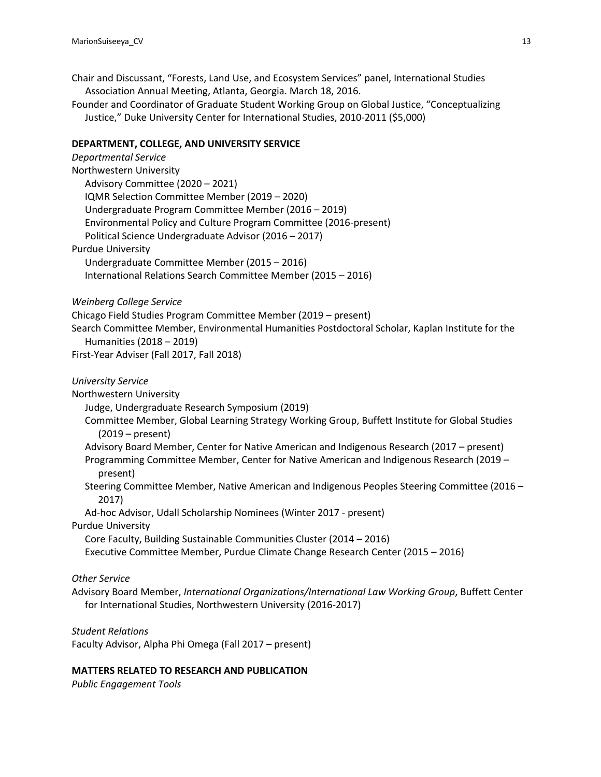Chair and Discussant, "Forests, Land Use, and Ecosystem Services" panel, International Studies Association Annual Meeting, Atlanta, Georgia. March 18, 2016.

Founder and Coordinator of Graduate Student Working Group on Global Justice, "Conceptualizing Justice," Duke University Center for International Studies, 2010-2011 (\$5,000)

# **DEPARTMENT, COLLEGE, AND UNIVERSITY SERVICE**

| <b>Departmental Service</b>                                                                                                  |
|------------------------------------------------------------------------------------------------------------------------------|
| Northwestern University                                                                                                      |
| Advisory Committee (2020 - 2021)                                                                                             |
| IQMR Selection Committee Member (2019 - 2020)                                                                                |
| Undergraduate Program Committee Member (2016 - 2019)                                                                         |
| Environmental Policy and Culture Program Committee (2016-present)                                                            |
| Political Science Undergraduate Advisor (2016 - 2017)                                                                        |
| <b>Purdue University</b>                                                                                                     |
| Undergraduate Committee Member (2015 - 2016)                                                                                 |
| International Relations Search Committee Member (2015 - 2016)                                                                |
| Weinberg College Service                                                                                                     |
| Chicago Field Studies Program Committee Member (2019 - present)                                                              |
| Search Committee Member, Environmental Humanities Postdoctoral Scholar, Kaplan Institute for the<br>Humanities (2018 - 2019) |
| First-Year Adviser (Fall 2017, Fall 2018)                                                                                    |
| <b>University Service</b>                                                                                                    |
| Northwestern University                                                                                                      |
| Judge, Undergraduate Research Symposium (2019)                                                                               |
| Committee Member, Global Learning Strategy Working Group, Buffett Institute for Global Studies<br>$(2019 - present)$         |
| Advisory Board Member, Center for Native American and Indigenous Research (2017 - present)                                   |
| Programming Committee Member, Center for Native American and Indigenous Research (2019 -<br>present)                         |
| Steering Committee Member, Native American and Indigenous Peoples Steering Committee (2016 -<br>2017)                        |
| Ad-hoc Advisor, Udall Scholarship Nominees (Winter 2017 - present)                                                           |
| <b>Purdue University</b>                                                                                                     |
| Core Faculty, Building Sustainable Communities Cluster (2014 - 2016)                                                         |
| Executive Committee Member, Purdue Climate Change Research Center (2015 - 2016)                                              |
| <b>Other Service</b>                                                                                                         |
| Advisory Board Member, International Organizations/International Law Working Group, Buffett Center                           |
| for International Studies, Northwestern University (2016-2017)                                                               |
| <b>Student Relations</b>                                                                                                     |

Faculty Advisor, Alpha Phi Omega (Fall 2017 – present)

# **MATTERS RELATED TO RESEARCH AND PUBLICATION**

*Public Engagement Tools*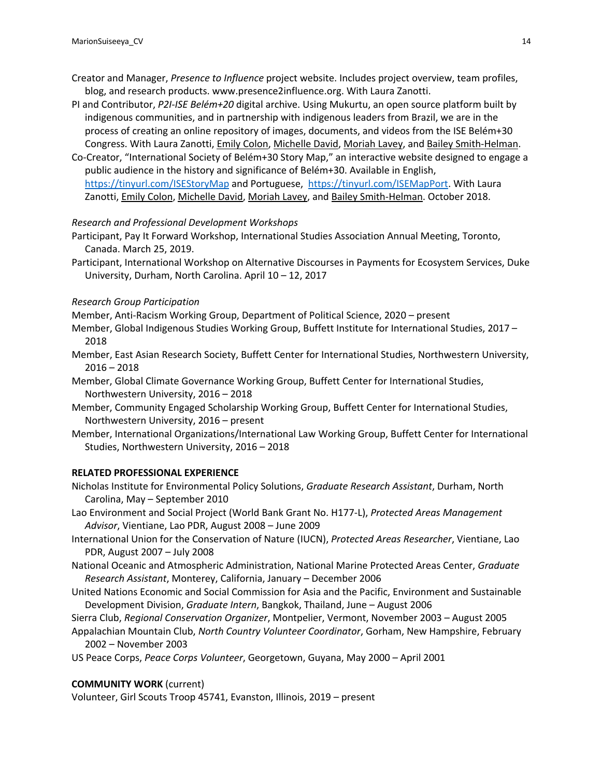- Creator and Manager, *Presence to Influence* project website. Includes project overview, team profiles, blog, and research products. www.presence2influence.org. With Laura Zanotti.
- PI and Contributor, *P2I-ISE Belém+20* digital archive. Using Mukurtu, an open source platform built by indigenous communities, and in partnership with indigenous leaders from Brazil, we are in the process of creating an online repository of images, documents, and videos from the ISE Belém+30 Congress. With Laura Zanotti, Emily Colon, Michelle David, Moriah Lavey, and Bailey Smith-Helman.
- Co-Creator, "International Society of Belém+30 Story Map," an interactive website designed to engage a public audience in the history and significance of Belém+30. Available in English, https://tinyurl.com/ISEStoryMap and Portuguese, https://tinyurl.com/ISEMapPort. With Laura Zanotti, Emily Colon, Michelle David, Moriah Lavey, and Bailey Smith-Helman. October 2018.

### *Research and Professional Development Workshops*

- Participant, Pay It Forward Workshop, International Studies Association Annual Meeting, Toronto, Canada. March 25, 2019.
- Participant, International Workshop on Alternative Discourses in Payments for Ecosystem Services, Duke University, Durham, North Carolina. April 10 – 12, 2017

### *Research Group Participation*

- Member, Anti-Racism Working Group, Department of Political Science, 2020 present
- Member, Global Indigenous Studies Working Group, Buffett Institute for International Studies, 2017 2018
- Member, East Asian Research Society, Buffett Center for International Studies, Northwestern University, 2016 – 2018
- Member, Global Climate Governance Working Group, Buffett Center for International Studies, Northwestern University, 2016 – 2018
- Member, Community Engaged Scholarship Working Group, Buffett Center for International Studies, Northwestern University, 2016 – present
- Member, International Organizations/International Law Working Group, Buffett Center for International Studies, Northwestern University, 2016 – 2018

#### **RELATED PROFESSIONAL EXPERIENCE**

- Nicholas Institute for Environmental Policy Solutions, *Graduate Research Assistant*, Durham, North Carolina, May – September 2010
- Lao Environment and Social Project (World Bank Grant No. H177-L), *Protected Areas Management Advisor*, Vientiane, Lao PDR, August 2008 – June 2009
- International Union for the Conservation of Nature (IUCN), *Protected Areas Researcher*, Vientiane, Lao PDR, August 2007 – July 2008
- National Oceanic and Atmospheric Administration, National Marine Protected Areas Center, *Graduate Research Assistant*, Monterey, California, January – December 2006
- United Nations Economic and Social Commission for Asia and the Pacific, Environment and Sustainable Development Division, *Graduate Intern*, Bangkok, Thailand, June – August 2006
- Sierra Club, *Regional Conservation Organizer*, Montpelier, Vermont, November 2003 August 2005
- Appalachian Mountain Club, *North Country Volunteer Coordinator*, Gorham, New Hampshire, February 2002 – November 2003
- US Peace Corps, *Peace Corps Volunteer*, Georgetown, Guyana, May 2000 April 2001

### **COMMUNITY WORK** (current)

Volunteer, Girl Scouts Troop 45741, Evanston, Illinois, 2019 – present